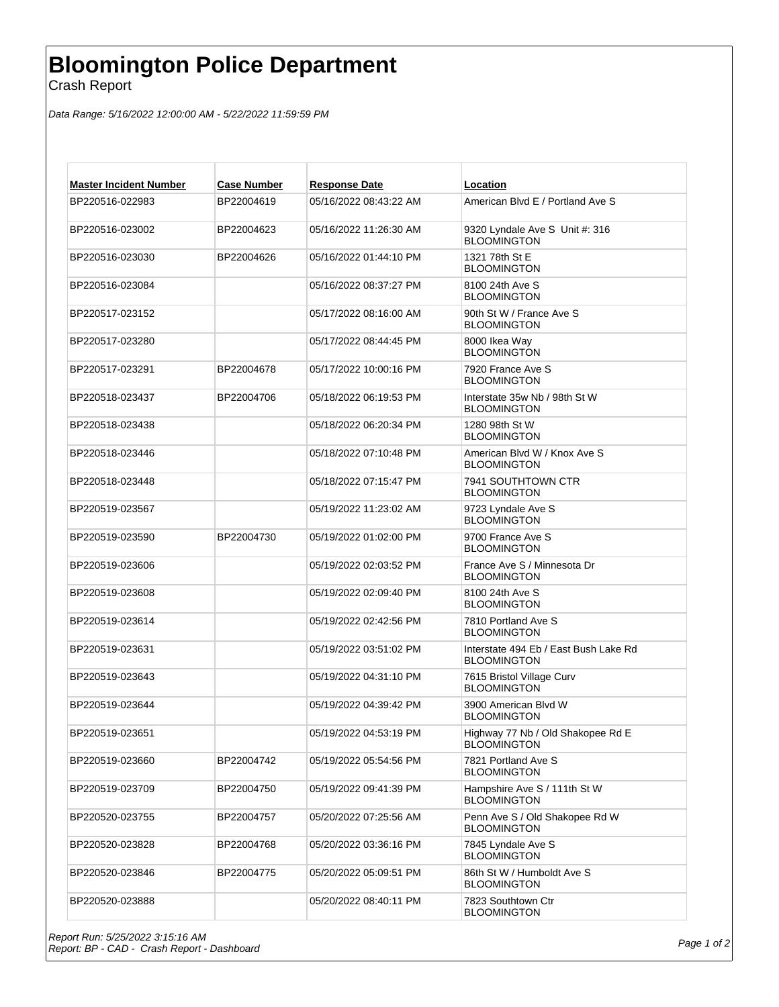## **Bloomington Police Department**

Crash Report

Data Range: 5/16/2022 12:00:00 AM - 5/22/2022 11:59:59 PM

| <b>Master Incident Number</b> | <b>Case Number</b> | <b>Response Date</b>   | Location                                                    |
|-------------------------------|--------------------|------------------------|-------------------------------------------------------------|
| BP220516-022983               | BP22004619         | 05/16/2022 08:43:22 AM | American Blvd E / Portland Ave S                            |
| BP220516-023002               | BP22004623         | 05/16/2022 11:26:30 AM | 9320 Lyndale Ave S Unit #: 316<br><b>BLOOMINGTON</b>        |
| BP220516-023030               | BP22004626         | 05/16/2022 01:44:10 PM | 1321 78th St E<br><b>BLOOMINGTON</b>                        |
| BP220516-023084               |                    | 05/16/2022 08:37:27 PM | 8100 24th Ave S<br><b>BLOOMINGTON</b>                       |
| BP220517-023152               |                    | 05/17/2022 08:16:00 AM | 90th St W / France Ave S<br><b>BLOOMINGTON</b>              |
| BP220517-023280               |                    | 05/17/2022 08:44:45 PM | 8000 Ikea Way<br><b>BLOOMINGTON</b>                         |
| BP220517-023291               | BP22004678         | 05/17/2022 10:00:16 PM | 7920 France Ave S<br><b>BLOOMINGTON</b>                     |
| BP220518-023437               | BP22004706         | 05/18/2022 06:19:53 PM | Interstate 35w Nb / 98th St W<br><b>BLOOMINGTON</b>         |
| BP220518-023438               |                    | 05/18/2022 06:20:34 PM | 1280 98th St W<br><b>BLOOMINGTON</b>                        |
| BP220518-023446               |                    | 05/18/2022 07:10:48 PM | American Blvd W / Knox Ave S<br><b>BLOOMINGTON</b>          |
| BP220518-023448               |                    | 05/18/2022 07:15:47 PM | 7941 SOUTHTOWN CTR<br><b>BLOOMINGTON</b>                    |
| BP220519-023567               |                    | 05/19/2022 11:23:02 AM | 9723 Lyndale Ave S<br><b>BLOOMINGTON</b>                    |
| BP220519-023590               | BP22004730         | 05/19/2022 01:02:00 PM | 9700 France Ave S<br><b>BLOOMINGTON</b>                     |
| BP220519-023606               |                    | 05/19/2022 02:03:52 PM | France Ave S / Minnesota Dr<br><b>BLOOMINGTON</b>           |
| BP220519-023608               |                    | 05/19/2022 02:09:40 PM | 8100 24th Ave S<br><b>BLOOMINGTON</b>                       |
| BP220519-023614               |                    | 05/19/2022 02:42:56 PM | 7810 Portland Ave S<br><b>BLOOMINGTON</b>                   |
| BP220519-023631               |                    | 05/19/2022 03:51:02 PM | Interstate 494 Eb / East Bush Lake Rd<br><b>BLOOMINGTON</b> |
| BP220519-023643               |                    | 05/19/2022 04:31:10 PM | 7615 Bristol Village Curv<br><b>BLOOMINGTON</b>             |
| BP220519-023644               |                    | 05/19/2022 04:39:42 PM | 3900 American Blvd W<br><b>BLOOMINGTON</b>                  |
| BP220519-023651               |                    | 05/19/2022 04:53:19 PM | Highway 77 Nb / Old Shakopee Rd E<br><b>BLOOMINGTON</b>     |
| BP220519-023660               | BP22004742         | 05/19/2022 05:54:56 PM | 7821 Portland Ave S<br><b>BLOOMINGTON</b>                   |
| BP220519-023709               | BP22004750         | 05/19/2022 09:41:39 PM | Hampshire Ave S / 111th St W<br><b>BLOOMINGTON</b>          |
| BP220520-023755               | BP22004757         | 05/20/2022 07:25:56 AM | Penn Ave S / Old Shakopee Rd W<br><b>BLOOMINGTON</b>        |
| BP220520-023828               | BP22004768         | 05/20/2022 03:36:16 PM | 7845 Lyndale Ave S<br><b>BLOOMINGTON</b>                    |
| BP220520-023846               | BP22004775         | 05/20/2022 05:09:51 PM | 86th St W / Humboldt Ave S<br><b>BLOOMINGTON</b>            |
| BP220520-023888               |                    | 05/20/2022 08:40:11 PM | 7823 Southtown Ctr<br><b>BLOOMINGTON</b>                    |

Report Run: 5/25/2022 3:15:16 AM Report Run: 5/25/2022 3:15:16 AM<br>Report: BP - CAD - Crash Report - Dashboard Page 1 of 2